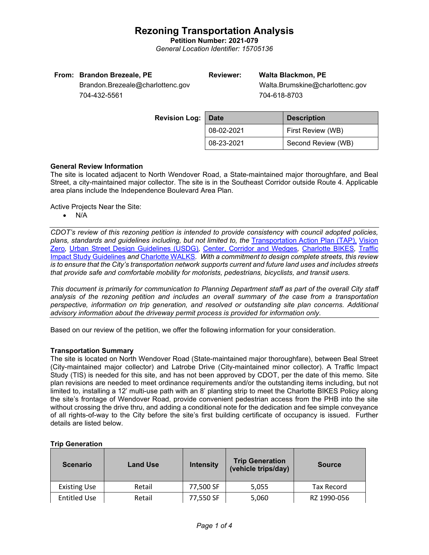## **Rezoning Transportation Analysis**

**Petition Number: 2021-079** *General Location Identifier: 15705136*

| From: Brandon Brezeale, PE       | <b>Reviewer:</b> | <b>Walta Blackmon, PE</b>       |
|----------------------------------|------------------|---------------------------------|
| Brandon.Brezeale@charlottenc.gov |                  | Walta.Brumskine@charlottenc.gov |
| 704-432-5561                     |                  | 704-618-8703                    |
|                                  |                  |                                 |

| <b>Revision Log:   Date</b> |            | <b>Description</b> |  |
|-----------------------------|------------|--------------------|--|
|                             | 08-02-2021 | First Review (WB)  |  |
|                             | 08-23-2021 | Second Review (WB) |  |

### **General Review Information**

The site is located adjacent to North Wendover Road, a State-maintained major thoroughfare, and Beal Street, a city-maintained major collector. The site is in the Southeast Corridor outside Route 4. Applicable area plans include the Independence Boulevard Area Plan.

Active Projects Near the Site:

• N/A

*CDOT's review of this rezoning petition is intended to provide consistency with council adopted policies, plans, standards and guidelines including, but not limited to, the* [Transportation Action Plan \(TAP\),](https://charlottenc.gov/Transportation/Programs/Pages/TransportationActionPlan.aspx) [Vision](https://charlottenc.gov/VisionZero/Pages/VisionZero.aspx)  [Zero](https://charlottenc.gov/VisionZero/Pages/VisionZero.aspx)*,* [Urban Street Design Guidelines \(USDG\)](https://charlottenc.gov/Transportation/PlansProjects/Documents/USDG%20Full%20Document.pdf)*,* [Center, Corridor and](http://ww.charmeck.org/Planning/Land%20Use%20Planning/CentersCorridorsWedges/CentersCorridorsWedges(Adopted).pdf) Wedges*,* [Charlotte BIKES](https://charlottenc.gov/Transportation/Programs/Pages/Bicycle.aspx)*,* [Traffic](https://charlottenc.gov/Transportation/Permits/Documents/TISProcessandGuildlines.pdf)  [Impact Study Guidelines](https://charlottenc.gov/Transportation/Permits/Documents/TISProcessandGuildlines.pdf) *and* [Charlotte WALKS](https://charlottenc.gov/Transportation/Programs/Pages/CharlotteWalks.aspx)*. With a commitment to design complete streets, this review is to ensure that the City's transportation network supports current and future land uses and includes streets that provide safe and comfortable mobility for motorists, pedestrians, bicyclists, and transit users.*

*This document is primarily for communication to Planning Department staff as part of the overall City staff analysis of the rezoning petition and includes an overall summary of the case from a transportation perspective, information on trip generation, and resolved or outstanding site plan concerns. Additional advisory information about the driveway permit process is provided for information only.*

Based on our review of the petition, we offer the following information for your consideration.

### **Transportation Summary**

The site is located on North Wendover Road (State-maintained major thoroughfare), between Beal Street (City-maintained major collector) and Latrobe Drive (City-maintained minor collector). A Traffic Impact Study (TIS) is needed for this site, and has not been approved by CDOT, per the date of this memo. Site plan revisions are needed to meet ordinance requirements and/or the outstanding items including, but not limited to, installing a 12' multi-use path with an 8' planting strip to meet the Charlotte BIKES Policy along the site's frontage of Wendover Road, provide convenient pedestrian access from the PHB into the site without crossing the drive thru, and adding a conditional note for the dedication and fee simple conveyance of all rights-of-way to the City before the site's first building certificate of occupancy is issued. Further details are listed below.

| <b>Trip Generation</b> |  |
|------------------------|--|
|------------------------|--|

| <b>Scenario</b>     | <b>Land Use</b> | <b>Intensity</b> | <b>Trip Generation</b><br>(vehicle trips/day) | <b>Source</b>     |
|---------------------|-----------------|------------------|-----------------------------------------------|-------------------|
| <b>Existing Use</b> | Retail          | 77,500 SF        | 5,055                                         | <b>Tax Record</b> |
| <b>Entitled Use</b> | Retail          | 77,550 SF        | 5,060                                         | RZ 1990-056       |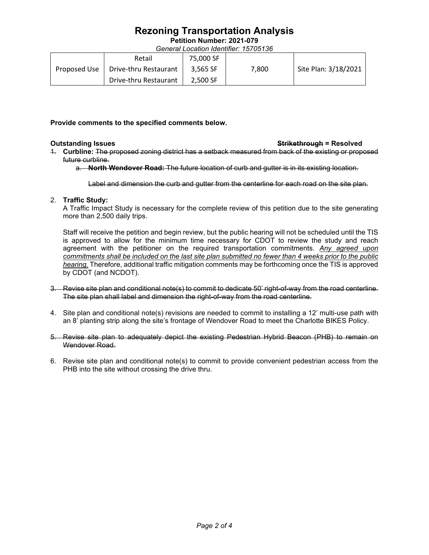# **Rezoning Transportation Analysis**

**Petition Number: 2021-079**

*General Location Identifier: 15705136*

|              | Retail                | 75.000 SF |       |                      |
|--------------|-----------------------|-----------|-------|----------------------|
| Proposed Use | Drive-thru Restaurant | 3.565 SF  | 7.800 | Site Plan: 3/18/2021 |
|              | Drive-thru Restaurant | 2.500 SF  |       |                      |

**Provide comments to the specified comments below.** 

- **Outstanding Issues Strikethrough = Resolved**
- 1. **Curbline:** The proposed zoning district has a setback measured from back of the existing or proposed future curbline.

a. **North Wendover Road:** The future location of curb and gutter is in its existing location.

Label and dimension the curb and gutter from the centerline for each road on the site plan.

## 2. **Traffic Study:**

A Traffic Impact Study is necessary for the complete review of this petition due to the site generating more than 2,500 daily trips.

Staff will receive the petition and begin review, but the public hearing will not be scheduled until the TIS is approved to allow for the minimum time necessary for CDOT to review the study and reach agreement with the petitioner on the required transportation commitments. *Any agreed upon commitments shall be included on the last site plan submitted no fewer than 4 weeks prior to the public hearing.* Therefore, additional traffic mitigation comments may be forthcoming once the TIS is approved by CDOT (and NCDOT).

- 3. Revise site plan and conditional note(s) to commit to dedicate 50' right-of-way from the road centerline. The site plan shall label and dimension the right-of-way from the road centerline.
- 4. Site plan and conditional note(s) revisions are needed to commit to installing a 12' multi-use path with an 8' planting strip along the site's frontage of Wendover Road to meet the Charlotte BIKES Policy.
- 5. Revise site plan to adequately depict the existing Pedestrian Hybrid Beacon (PHB) to remain on Wendover Road.
- 6. Revise site plan and conditional note(s) to commit to provide convenient pedestrian access from the PHB into the site without crossing the drive thru.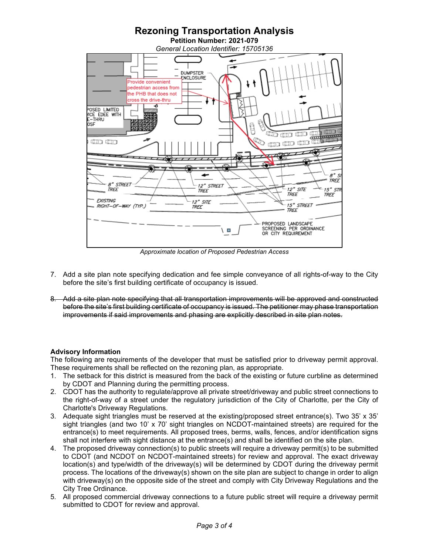

*Approximate location of Proposed Pedestrian Access*

- 7. Add a site plan note specifying dedication and fee simple conveyance of all rights-of-way to the City before the site's first building certificate of occupancy is issued.
- 8. Add a site plan note specifying that all transportation improvements will be approved and constructed before the site's first building certificate of occupancy is issued. The petitioner may phase transportation improvements if said improvements and phasing are explicitly described in site plan notes.

## **Advisory Information**

The following are requirements of the developer that must be satisfied prior to driveway permit approval. These requirements shall be reflected on the rezoning plan, as appropriate.

- 1. The setback for this district is measured from the back of the existing or future curbline as determined by CDOT and Planning during the permitting process.
- 2. CDOT has the authority to regulate/approve all private street/driveway and public street connections to the right-of-way of a street under the regulatory jurisdiction of the City of Charlotte, per the City of Charlotte's Driveway Regulations.
- 3. Adequate sight triangles must be reserved at the existing/proposed street entrance(s). Two 35' x 35' sight triangles (and two 10' x 70' sight triangles on NCDOT-maintained streets) are required for the entrance(s) to meet requirements. All proposed trees, berms, walls, fences, and/or identification signs shall not interfere with sight distance at the entrance(s) and shall be identified on the site plan.
- 4. The proposed driveway connection(s) to public streets will require a driveway permit(s) to be submitted to CDOT (and NCDOT on NCDOT-maintained streets) for review and approval. The exact driveway location(s) and type/width of the driveway(s) will be determined by CDOT during the driveway permit process. The locations of the driveway(s) shown on the site plan are subject to change in order to align with driveway(s) on the opposite side of the street and comply with City Driveway Regulations and the City Tree Ordinance.
- 5. All proposed commercial driveway connections to a future public street will require a driveway permit submitted to CDOT for review and approval.